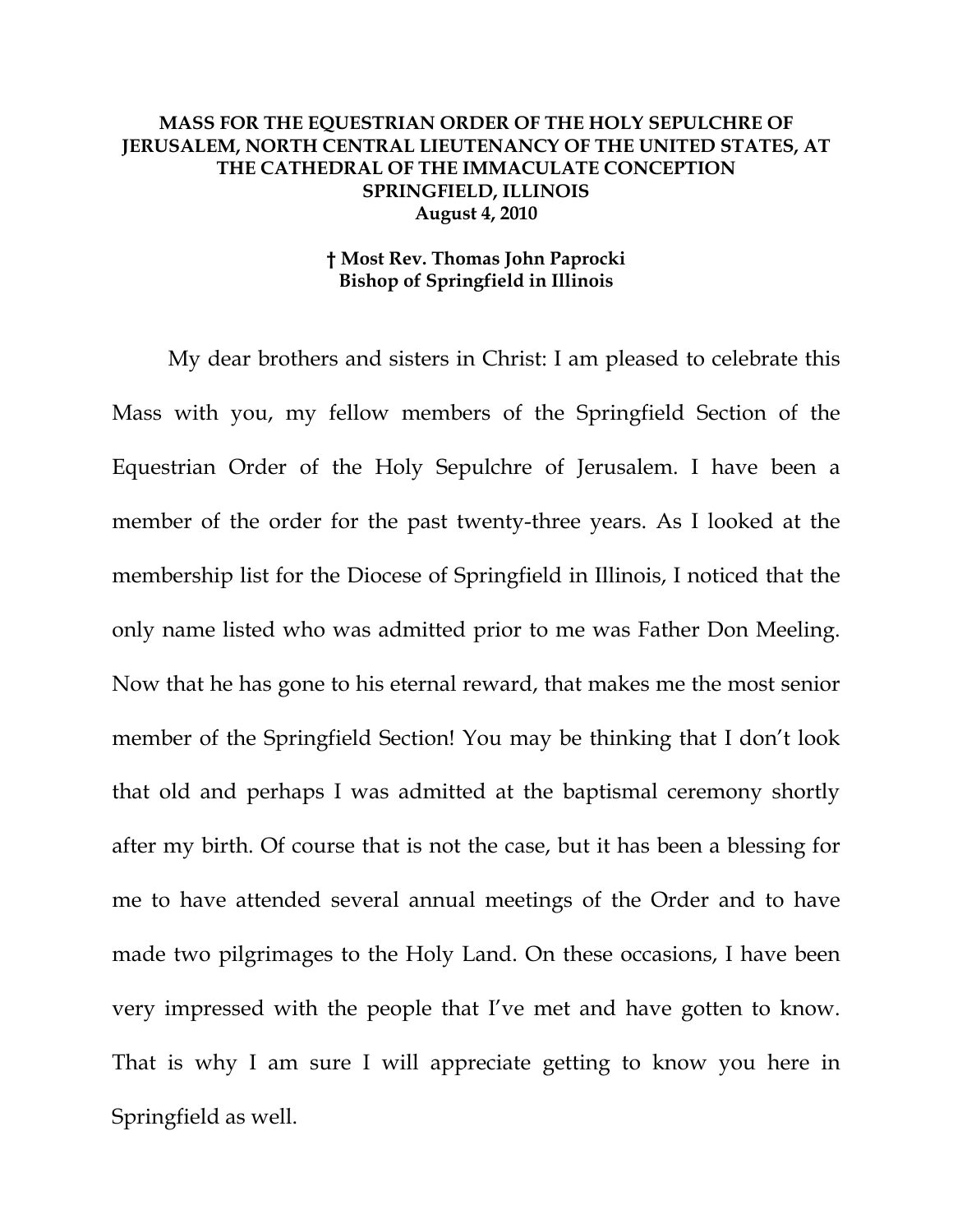## **MASS FOR THE EQUESTRIAN ORDER OF THE HOLY SEPULCHRE OF JERUSALEM, NORTH CENTRAL LIEUTENANCY OF THE UNITED STATES, AT THE CATHEDRAL OF THE IMMACULATE CONCEPTION SPRINGFIELD, ILLINOIS August 4, 2010**

## **† Most Rev. Thomas John Paprocki Bishop of Springfield in Illinois**

My dear brothers and sisters in Christ: I am pleased to celebrate this Mass with you, my fellow members of the Springfield Section of the Equestrian Order of the Holy Sepulchre of Jerusalem. I have been a member of the order for the past twenty-three years. As I looked at the membership list for the Diocese of Springfield in Illinois, I noticed that the only name listed who was admitted prior to me was Father Don Meeling. Now that he has gone to his eternal reward, that makes me the most senior member of the Springfield Section! You may be thinking that I don't look that old and perhaps I was admitted at the baptismal ceremony shortly after my birth. Of course that is not the case, but it has been a blessing for me to have attended several annual meetings of the Order and to have made two pilgrimages to the Holy Land. On these occasions, I have been very impressed with the people that I've met and have gotten to know. That is why I am sure I will appreciate getting to know you here in Springfield as well.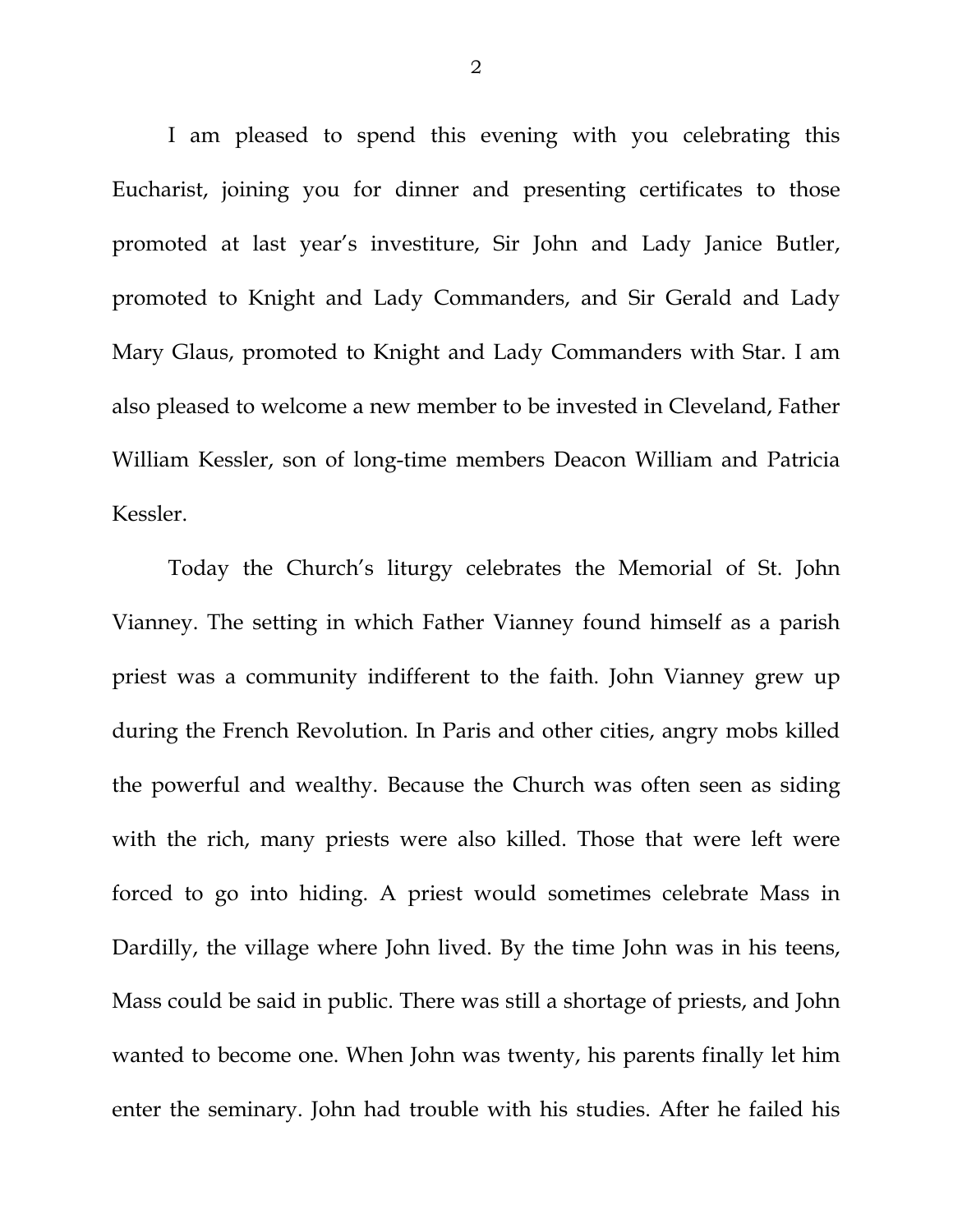I am pleased to spend this evening with you celebrating this Eucharist, joining you for dinner and presenting certificates to those promoted at last year's investiture, Sir John and Lady Janice Butler, promoted to Knight and Lady Commanders, and Sir Gerald and Lady Mary Glaus, promoted to Knight and Lady Commanders with Star. I am also pleased to welcome a new member to be invested in Cleveland, Father William Kessler, son of long-time members Deacon William and Patricia Kessler.

Today the Church's liturgy celebrates the Memorial of St. John Vianney. The setting in which Father Vianney found himself as a parish priest was a community indifferent to the faith. John Vianney grew up during the French Revolution. In Paris and other cities, angry mobs killed the powerful and wealthy. Because the Church was often seen as siding with the rich, many priests were also killed. Those that were left were forced to go into hiding. A priest would sometimes celebrate Mass in Dardilly, the village where John lived. By the time John was in his teens, Mass could be said in public. There was still a shortage of priests, and John wanted to become one. When John was twenty, his parents finally let him enter the seminary. John had trouble with his studies. After he failed his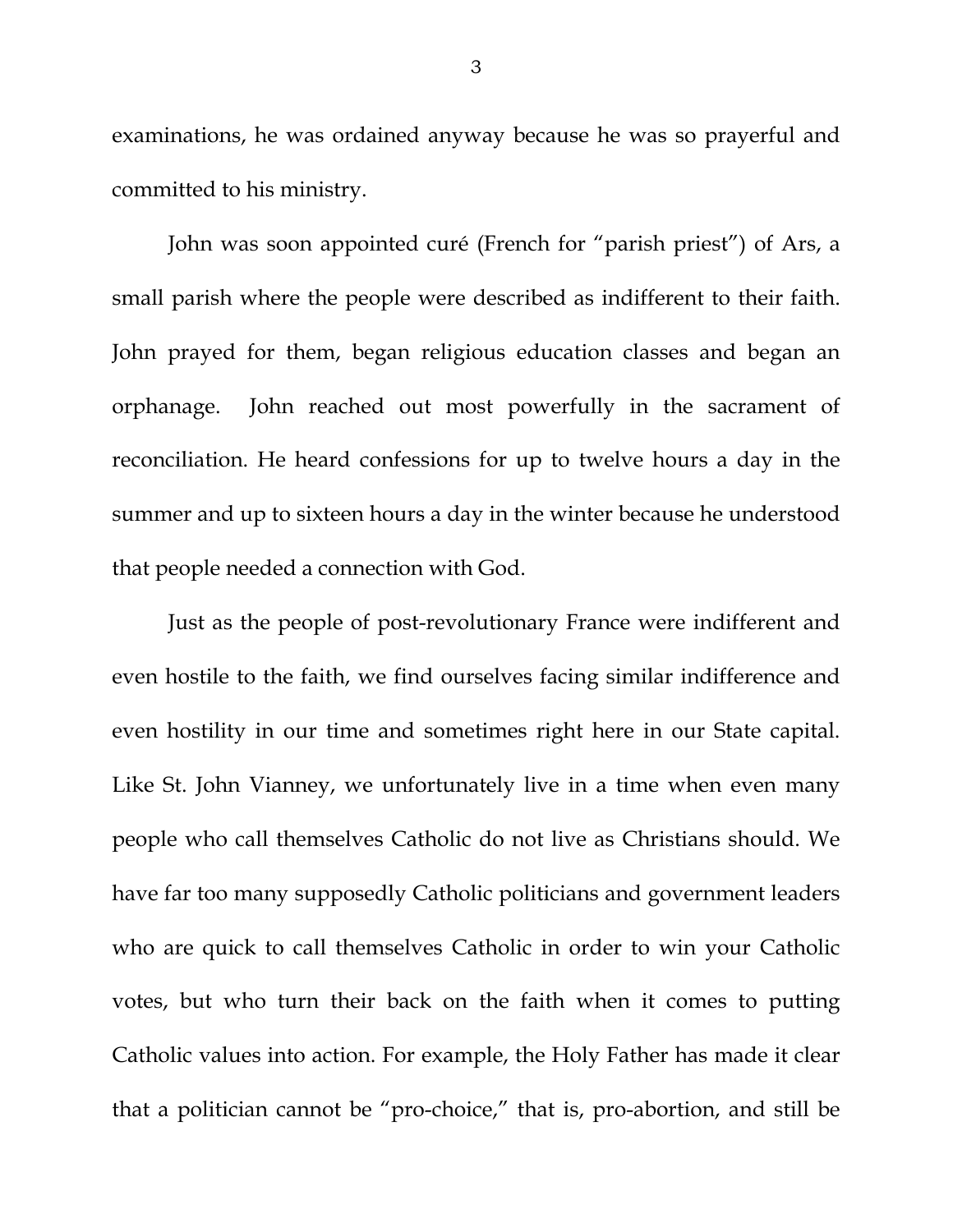examinations, he was ordained anyway because he was so prayerful and committed to his ministry.

John was soon appointed curé (French for "parish priest") of Ars, a small parish where the people were described as indifferent to their faith. John prayed for them, began religious education classes and began an orphanage. John reached out most powerfully in the sacrament of reconciliation. He heard confessions for up to twelve hours a day in the summer and up to sixteen hours a day in the winter because he understood that people needed a connection with God.

Just as the people of post-revolutionary France were indifferent and even hostile to the faith, we find ourselves facing similar indifference and even hostility in our time and sometimes right here in our State capital. Like St. John Vianney, we unfortunately live in a time when even many people who call themselves Catholic do not live as Christians should. We have far too many supposedly Catholic politicians and government leaders who are quick to call themselves Catholic in order to win your Catholic votes, but who turn their back on the faith when it comes to putting Catholic values into action. For example, the Holy Father has made it clear that a politician cannot be "pro-choice," that is, pro-abortion, and still be